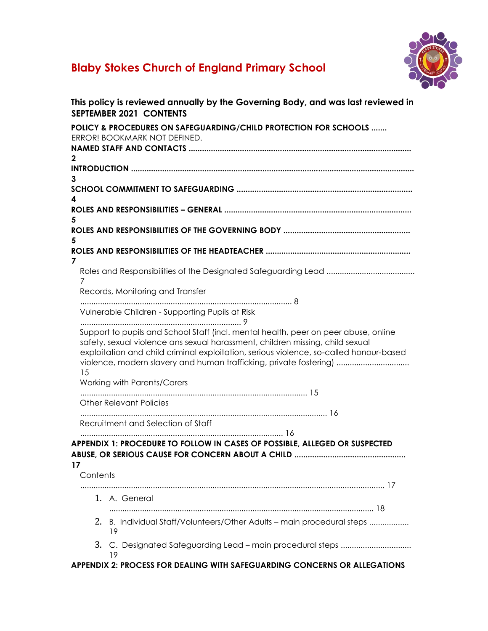

# **Blaby Stokes Church of England Primary School**

**This policy is reviewed annually by the Governing Body, and was last reviewed in SEPTEMBER 2021 CONTENTS POLICY & PROCEDURES ON SAFEGUARDING/CHILD PROTECTION FOR SCHOOLS .......**  ERROR! BOOKMARK NOT DEFINED. **NAMED STAFF AND CONTACTS .................................................................................................... 2 INTRODUCTION ............................................................................................................................... 3 SCHOOL COMMITMENT TO SAFEGUARDING ............................................................................... 4 ROLES AND RESPONSIBILITIES – GENERAL .................................................................................... 5 ROLES AND RESPONSIBILITIES OF THE GOVERNING BODY ......................................................... 5 ROLES AND RESPONSIBILITIES OF THE HEADTEACHER ................................................................. 7** Roles and Responsibilities of the Designated Safeguarding Lead ........................................ 7 Records, Monitoring and Transfer ................................................................................................ 8 Vulnerable Children - Supporting Pupils at Risk ......................................................................... 9 Support to pupils and School Staff (incl. mental health, peer on peer abuse, online safety, sexual violence ans sexual harassment, children missing, child sexual exploitation and child criminal exploitation, serious violence, so-called honour-based violence, modern slavery and human trafficking, private fostering) ................................. 15 Working with Parents/Carers ....................................................................................................... 15 Other Relevant Policies ................................................................................................................ 16 Recruitment and Selection of Staff ............................................................................................ 16 **APPENDIX 1: PROCEDURE TO FOLLOW IN CASES OF POSSIBLE, ALLEGED OR SUSPECTED ABUSE, OR SERIOUS CAUSE FOR CONCERN ABOUT A CHILD .................................................. 17 Contents** .......................................................................................................................................... 17 1. A. General ........................................................................................................................ 18 2. B. Individual Staff/Volunteers/Other Adults – main procedural steps .................. 19 3. C. Designated Safeguarding Lead – main procedural steps ................................... 19 **APPENDIX 2: PROCESS FOR DEALING WITH SAFEGUARDING CONCERNS OR ALLEGATIONS**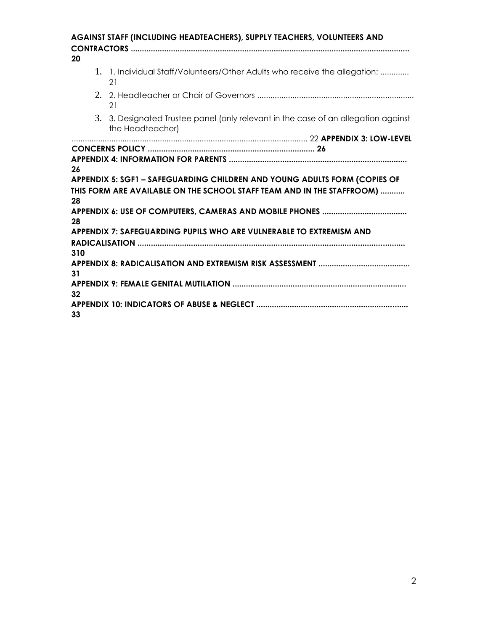| 20  | <b>AGAINST STAFF (INCLUDING HEADTEACHERS), SUPPLY TEACHERS, VOLUNTEERS AND</b>                         |
|-----|--------------------------------------------------------------------------------------------------------|
|     | 1. 1. Individual Staff/Volunteers/Other Adults who receive the allegation:<br>21                       |
|     | 21                                                                                                     |
|     | 3. 3. Designated Trustee panel (only relevant in the case of an allegation against<br>the Headteacher) |
|     |                                                                                                        |
|     |                                                                                                        |
|     |                                                                                                        |
|     |                                                                                                        |
| 26  |                                                                                                        |
|     | APPENDIX 5: SGF1 - SAFEGUARDING CHILDREN AND YOUNG ADULTS FORM (COPIES OF                              |
| 28  | THIS FORM ARE AVAILABLE ON THE SCHOOL STAFF TEAM AND IN THE STAFFROOM)                                 |
| 28  |                                                                                                        |
|     | APPENDIX 7: SAFEGUARDING PUPILS WHO ARE VULNERABLE TO EXTREMISM AND                                    |
| 310 |                                                                                                        |
| 31  |                                                                                                        |
| 32  |                                                                                                        |
| 33  |                                                                                                        |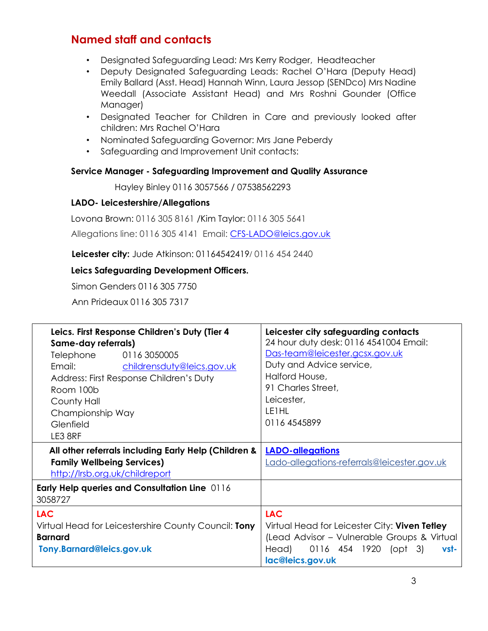# **Named staff and contacts**

- Designated Safeguarding Lead: Mrs Kerry Rodger, Headteacher
- Deputy Designated Safeguarding Leads: Rachel O'Hara (Deputy Head) Emily Ballard (Asst. Head) Hannah Winn, Laura Jessop (SENDco) Mrs Nadine Weedall (Associate Assistant Head) and Mrs Roshni Gounder (Office Manager)
- Designated Teacher for Children in Care and previously looked after children: Mrs Rachel O'Hara
- Nominated Safeguarding Governor: Mrs Jane Peberdy
- Safeguarding and Improvement Unit contacts:

#### **Service Manager - Safeguarding Improvement and Quality Assurance**

Hayley Binley 0116 3057566 / 07538562293

#### **LADO- Leicestershire/Allegations**

Lovona Brown: 0116 305 8161 /Kim Taylor: 0116 305 5641

Allegations line: 0116 305 4141 Email: CFS-LADO@leics.gov.uk

**Leicester city:** Jude Atkinson: 01164542419/ 0116 454 2440

#### **Leics Safeguarding Development Officers.**

Simon Genders 0116 305 7750

Ann Prideaux 0116 305 7317

| Leics. First Response Children's Duty (Tier 4<br>Same-day referrals)                                                        | Leicester city safeguarding contacts<br>24 hour duty desk: 0116 4541004 Email:                                                                                           |
|-----------------------------------------------------------------------------------------------------------------------------|--------------------------------------------------------------------------------------------------------------------------------------------------------------------------|
| Telephone<br>0116 3050005<br>Email:<br>childrensduty@leics.gov.uk                                                           | Das-team@leicester.gcsx.gov.uk<br>Duty and Advice service,                                                                                                               |
| Address: First Response Children's Duty<br>Room 100b                                                                        | Halford House,<br>91 Charles Street,                                                                                                                                     |
| County Hall<br>Championship Way                                                                                             | Leicester,<br>LE1HL                                                                                                                                                      |
| Glenfield<br>LE3 8RF                                                                                                        | 0116 4545899                                                                                                                                                             |
| All other referrals including Early Help (Children &<br><b>Family Wellbeing Services)</b><br>http://lrsb.org.uk/childreport | <b>LADO-allegations</b><br>Lado-allegations-referrals@leicester.gov.uk                                                                                                   |
| <b>Early Help queries and Consultation Line 0116</b><br>3058727                                                             |                                                                                                                                                                          |
| <b>LAC</b><br>Virtual Head for Leicestershire County Council: Tony<br><b>Barnard</b><br>Tony.Barnard@leics.gov.uk           | <b>LAC</b><br>Virtual Head for Leicester City: Viven Tetley<br>(Lead Advisor – Vulnerable Groups & Virtual<br>0116 454 1920 (opt 3)<br>Head)<br>vst-<br>lac@leics.gov.uk |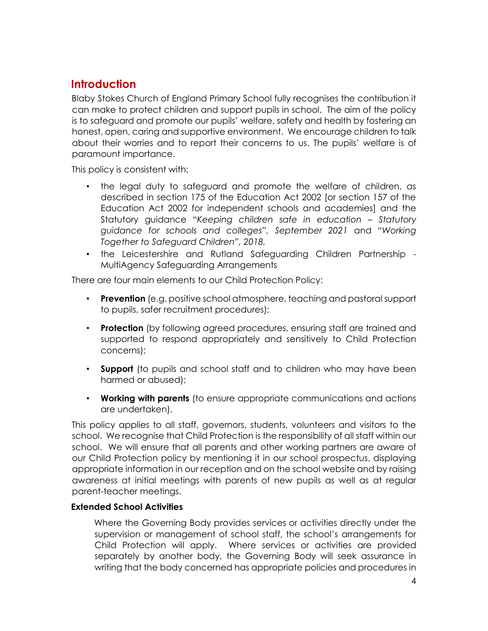## **Introduction**

Blaby Stokes Church of England Primary School fully recognises the contribution it can make to protect children and support pupils in school. The aim of the policy is to safeguard and promote our pupils' welfare, safety and health by fostering an honest, open, caring and supportive environment. We encourage children to talk about their worries and to report their concerns to us. The pupils' welfare is of paramount importance.

This policy is consistent with:

- the legal duty to safeguard and promote the welfare of children, as described in section 175 of the Education Act 2002 [or section 157 of the Education Act 2002 for independent schools and academies] and the Statutory guidance "*Keeping children safe in education – Statutory guidance for schools and colleges", September 2021* and *"Working Together to Safeguard Children", 2018.*
- the Leicestershire and Rutland Safeguarding Children Partnership MultiAgency Safeguarding Arrangements

There are four main elements to our Child Protection Policy:

- **Prevention** (e.g. positive school atmosphere, teaching and pastoral support to pupils, safer recruitment procedures);
- **Protection** (by following agreed procedures, ensuring staff are trained and supported to respond appropriately and sensitively to Child Protection concerns);
- **Support** (to pupils and school staff and to children who may have been harmed or abused);
- **Working with parents** (to ensure appropriate communications and actions are undertaken).

This policy applies to all staff, governors, students, volunteers and visitors to the school. We recognise that Child Protection is the responsibility of all staff within our school. We will ensure that all parents and other working partners are aware of our Child Protection policy by mentioning it in our school prospectus, displaying appropriate information in our reception and on the school website and by raising awareness at initial meetings with parents of new pupils as well as at regular parent-teacher meetings.

#### **Extended School Activities**

Where the Governing Body provides services or activities directly under the supervision or management of school staff, the school's arrangements for Child Protection will apply. Where services or activities are provided separately by another body, the Governing Body will seek assurance in writing that the body concerned has appropriate policies and procedures in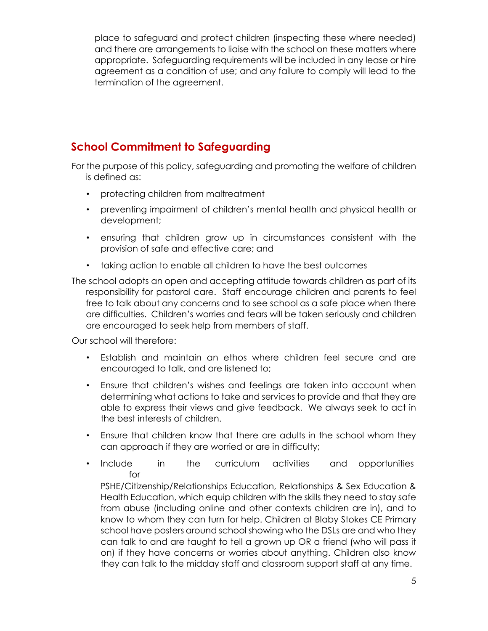place to safeguard and protect children (inspecting these where needed) and there are arrangements to liaise with the school on these matters where appropriate. Safeguarding requirements will be included in any lease or hire agreement as a condition of use; and any failure to comply will lead to the termination of the agreement.

# **School Commitment to Safeguarding**

For the purpose of this policy, safeguarding and promoting the welfare of children is defined as:

- protecting children from maltreatment
- preventing impairment of children's mental health and physical health or development;
- ensuring that children grow up in circumstances consistent with the provision of safe and effective care; and
- taking action to enable all children to have the best outcomes

The school adopts an open and accepting attitude towards children as part of its responsibility for pastoral care. Staff encourage children and parents to feel free to talk about any concerns and to see school as a safe place when there are difficulties. Children's worries and fears will be taken seriously and children are encouraged to seek help from members of staff.

Our school will therefore:

- Establish and maintain an ethos where children feel secure and are encouraged to talk, and are listened to;
- Ensure that children's wishes and feelings are taken into account when determining what actions to take and services to provide and that they are able to express their views and give feedback. We always seek to act in the best interests of children.
- Ensure that children know that there are adults in the school whom they can approach if they are worried or are in difficulty;
- Include in the curriculum activities and opportunities for

PSHE/Citizenship/Relationships Education, Relationships & Sex Education & Health Education, which equip children with the skills they need to stay safe from abuse (including online and other contexts children are in), and to know to whom they can turn for help. Children at Blaby Stokes CE Primary school have posters around school showing who the DSLs are and who they can talk to and are taught to tell a grown up OR a friend (who will pass it on) if they have concerns or worries about anything. Children also know they can talk to the midday staff and classroom support staff at any time.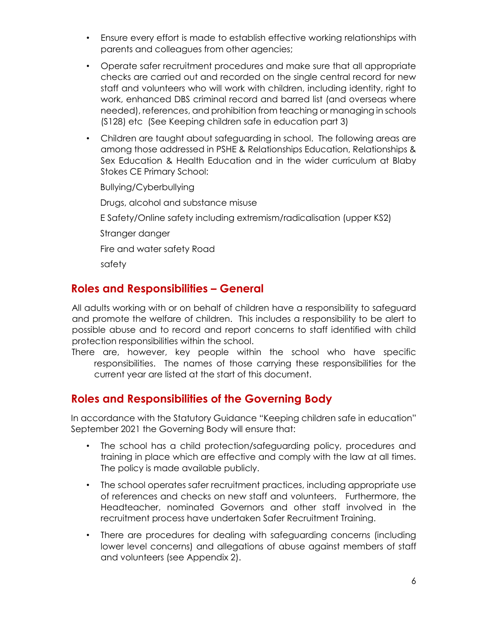- Ensure every effort is made to establish effective working relationships with parents and colleagues from other agencies;
- Operate safer recruitment procedures and make sure that all appropriate checks are carried out and recorded on the single central record for new staff and volunteers who will work with children, including identity, right to work, enhanced DBS criminal record and barred list (and overseas where needed), references, and prohibition from teaching or managing in schools (S128) etc (See Keeping children safe in education part 3)
- Children are taught about safeguarding in school. The following areas are among those addressed in PSHE & Relationships Education, Relationships & Sex Education & Health Education and in the wider curriculum at Blaby Stokes CE Primary School:

Bullying/Cyberbullying

Drugs, alcohol and substance misuse

E Safety/Online safety including extremism/radicalisation (upper KS2)

Stranger danger

Fire and water safety Road

safety

## **Roles and Responsibilities – General**

All adults working with or on behalf of children have a responsibility to safeguard and promote the welfare of children. This includes a responsibility to be alert to possible abuse and to record and report concerns to staff identified with child protection responsibilities within the school.

There are, however, key people within the school who have specific responsibilities. The names of those carrying these responsibilities for the current year are listed at the start of this document.

## **Roles and Responsibilities of the Governing Body**

In accordance with the Statutory Guidance "Keeping children safe in education" September 2021 the Governing Body will ensure that:

- The school has a child protection/safeguarding policy, procedures and training in place which are effective and comply with the law at all times. The policy is made available publicly.
- The school operates safer recruitment practices, including appropriate use of references and checks on new staff and volunteers. Furthermore, the Headteacher, nominated Governors and other staff involved in the recruitment process have undertaken Safer Recruitment Training.
- There are procedures for dealing with safeguarding concerns (including lower level concerns) and allegations of abuse against members of staff and volunteers (see Appendix 2).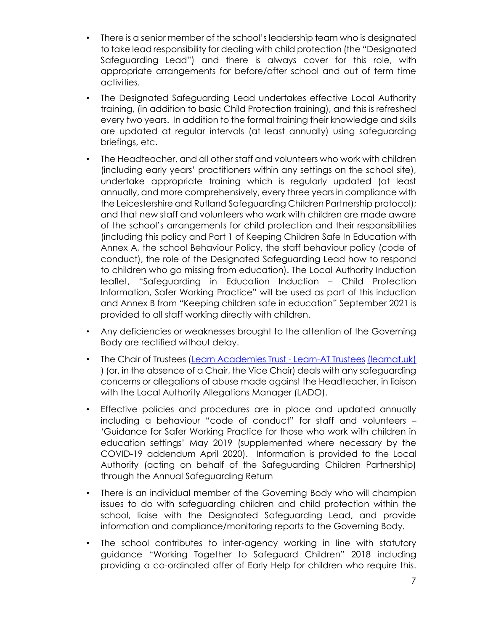- There is a senior member of the school's leadership team who is designated to take lead responsibility for dealing with child protection (the "Designated Safeguarding Lead") and there is always cover for this role, with appropriate arrangements for before/after school and out of term time activities.
- The Designated Safeguarding Lead undertakes effective Local Authority training, (in addition to basic Child Protection training), and this is refreshed every two years. In addition to the formal training their knowledge and skills are updated at regular intervals (at least annually) using safeguarding briefings, etc.
- The Headteacher, and all other staff and volunteers who work with children (including early years' practitioners within any settings on the school site), undertake appropriate training which is regularly updated (at least annually, and more comprehensively, every three years in compliance with the Leicestershire and Rutland Safeguarding Children Partnership protocol); and that new staff and volunteers who work with children are made aware of the school's arrangements for child protection and their responsibilities (including this policy and Part 1 of Keeping Children Safe In Education with Annex A, the school Behaviour Policy, the staff behaviour policy (code of conduct), the role of the Designated Safeguarding Lead how to respond to children who go missing from education). The Local Authority Induction leaflet, "Safeguarding in Education Induction – Child Protection Information, Safer Working Practice" will be used as part of this induction and Annex B from "Keeping children safe in education" September 2021 is provided to all staff working directly with children.
- Any deficiencies or weaknesses brought to the attention of the Governing Body are rectified without delay.
- The Chair of Trustees [\(Learn Academies Trust -](https://www.learnat.uk/about-learn-at/learn-at-trustees) [Learn-AT Trustees](https://www.learnat.uk/about-learn-at/learn-at-trustees) [\(learnat.uk\)](https://www.learnat.uk/about-learn-at/learn-at-trustees) ) (or, in the absence of a Chair, the Vice Chair) deals with any safeguarding concerns or allegations of abuse made against the Headteacher, in liaison with the Local Authority Allegations Manager (LADO).
- Effective policies and procedures are in place and updated annually including a behaviour "code of conduct" for staff and volunteers – 'Guidance for Safer Working Practice for those who work with children in education settings' May 2019 (supplemented where necessary by the COVID-19 addendum April 2020). Information is provided to the Local Authority (acting on behalf of the Safeguarding Children Partnership) through the Annual Safeguarding Return
- There is an individual member of the Governing Body who will champion issues to do with safeguarding children and child protection within the school, liaise with the Designated Safeguarding Lead, and provide information and compliance/monitoring reports to the Governing Body.
- The school contributes to inter-agency working in line with statutory guidance "Working Together to Safeguard Children" 2018 including providing a co-ordinated offer of Early Help for children who require this.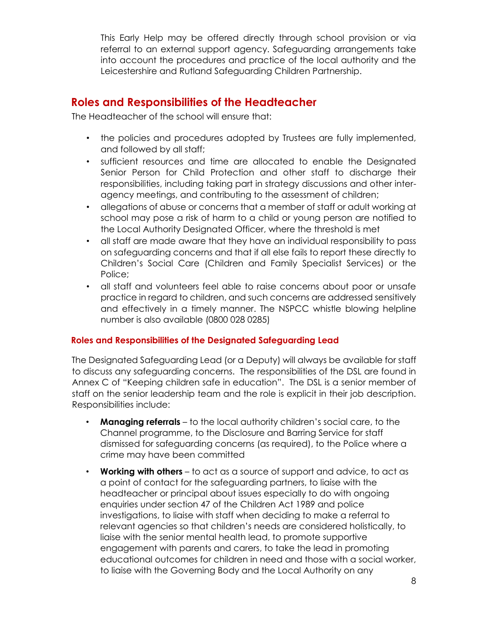This Early Help may be offered directly through school provision or via referral to an external support agency. Safeguarding arrangements take into account the procedures and practice of the local authority and the Leicestershire and Rutland Safeguarding Children Partnership.

## **Roles and Responsibilities of the Headteacher**

The Headteacher of the school will ensure that:

- the policies and procedures adopted by Trustees are fully implemented, and followed by all staff;
- sufficient resources and time are allocated to enable the Designated Senior Person for Child Protection and other staff to discharge their responsibilities, including taking part in strategy discussions and other interagency meetings, and contributing to the assessment of children;
- allegations of abuse or concerns that a member of staff or adult working at school may pose a risk of harm to a child or young person are notified to the Local Authority Designated Officer, where the threshold is met
- all staff are made aware that they have an individual responsibility to pass on safeguarding concerns and that if all else fails to report these directly to Children's Social Care (Children and Family Specialist Services) or the Police;
- all staff and volunteers feel able to raise concerns about poor or unsafe practice in regard to children, and such concerns are addressed sensitively and effectively in a timely manner. The NSPCC whistle blowing helpline number is also available (0800 028 0285)

#### **Roles and Responsibilities of the Designated Safeguarding Lead**

The Designated Safeguarding Lead (or a Deputy) will always be available for staff to discuss any safeguarding concerns. The responsibilities of the DSL are found in Annex C of "Keeping children safe in education". The DSL is a senior member of staff on the senior leadership team and the role is explicit in their job description. Responsibilities include:

- **Managing referrals** to the local authority children's social care, to the Channel programme, to the Disclosure and Barring Service for staff dismissed for safeguarding concerns (as required), to the Police where a crime may have been committed
- **Working with others** to act as a source of support and advice, to act as a point of contact for the safeguarding partners, to liaise with the headteacher or principal about issues especially to do with ongoing enquiries under section 47 of the Children Act 1989 and police investigations, to liaise with staff when deciding to make a referral to relevant agencies so that children's needs are considered holistically, to liaise with the senior mental health lead, to promote supportive engagement with parents and carers, to take the lead in promoting educational outcomes for children in need and those with a social worker, to liaise with the Governing Body and the Local Authority on any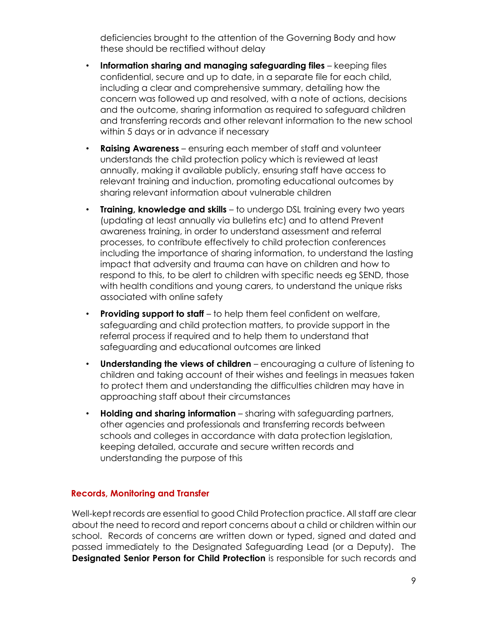deficiencies brought to the attention of the Governing Body and how these should be rectified without delay

- **Information sharing and managing safeguarding files** keeping files confidential, secure and up to date, in a separate file for each child, including a clear and comprehensive summary, detailing how the concern was followed up and resolved, with a note of actions, decisions and the outcome, sharing information as required to safeguard children and transferring records and other relevant information to the new school within 5 days or in advance if necessary
- **Raising Awareness** ensuring each member of staff and volunteer understands the child protection policy which is reviewed at least annually, making it available publicly, ensuring staff have access to relevant training and induction, promoting educational outcomes by sharing relevant information about vulnerable children
- **Training, knowledge and skills**  to undergo DSL training every two years (updating at least annually via bulletins etc) and to attend Prevent awareness training, in order to understand assessment and referral processes, to contribute effectively to child protection conferences including the importance of sharing information, to understand the lasting impact that adversity and trauma can have on children and how to respond to this, to be alert to children with specific needs eg SEND, those with health conditions and young carers, to understand the unique risks associated with online safety
- **Providing support to staff** to help them feel confident on welfare, safeguarding and child protection matters, to provide support in the referral process if required and to help them to understand that safeguarding and educational outcomes are linked
- **Understanding the views of children**  encouraging a culture of listening to children and taking account of their wishes and feelings in measues taken to protect them and understanding the difficulties children may have in approaching staff about their circumstances
- **Holding and sharing information** sharing with safeguarding partners, other agencies and professionals and transferring records between schools and colleges in accordance with data protection legislation, keeping detailed, accurate and secure written records and understanding the purpose of this

#### **Records, Monitoring and Transfer**

Well-kept records are essential to good Child Protection practice. All staff are clear about the need to record and report concerns about a child or children within our school. Records of concerns are written down or typed, signed and dated and passed immediately to the Designated Safeguarding Lead (or a Deputy). The **Designated Senior Person for Child Protection** is responsible for such records and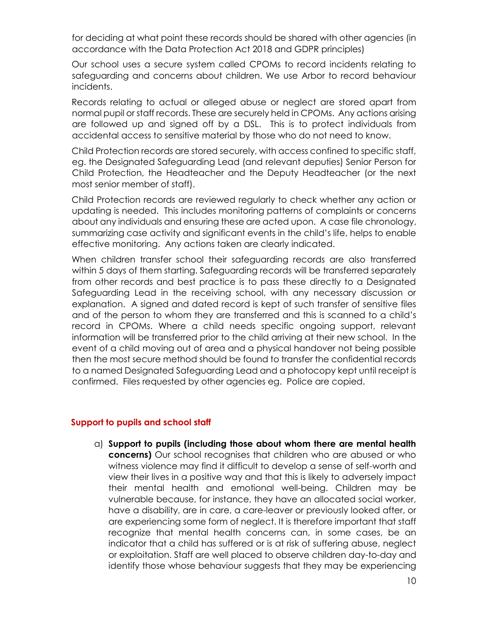for deciding at what point these records should be shared with other agencies (in accordance with the Data Protection Act 2018 and GDPR principles)

Our school uses a secure system called CPOMs to record incidents relating to safeguarding and concerns about children. We use Arbor to record behaviour incidents.

Records relating to actual or alleged abuse or neglect are stored apart from normal pupil or staff records. These are securely held in CPOMs. Any actions arising are followed up and signed off by a DSL. This is to protect individuals from accidental access to sensitive material by those who do not need to know.

Child Protection records are stored securely, with access confined to specific staff, eg. the Designated Safeguarding Lead (and relevant deputies) Senior Person for Child Protection, the Headteacher and the Deputy Headteacher (or the next most senior member of staff).

Child Protection records are reviewed regularly to check whether any action or updating is needed. This includes monitoring patterns of complaints or concerns about any individuals and ensuring these are acted upon. A case file chronology, summarizing case activity and significant events in the child's life, helps to enable effective monitoring. Any actions taken are clearly indicated.

When children transfer school their safeguarding records are also transferred within 5 days of them starting. Safeguarding records will be transferred separately from other records and best practice is to pass these directly to a Designated Safeguarding Lead in the receiving school, with any necessary discussion or explanation. A signed and dated record is kept of such transfer of sensitive files and of the person to whom they are transferred and this is scanned to a child's record in CPOMs. Where a child needs specific ongoing support, relevant information will be transferred prior to the child arriving at their new school. In the event of a child moving out of area and a physical handover not being possible then the most secure method should be found to transfer the confidential records to a named Designated Safeguarding Lead and a photocopy kept until receipt is confirmed. Files requested by other agencies eg. Police are copied.

#### **Support to pupils and school staff**

a) **Support to pupils (including those about whom there are mental health concerns)** Our school recognises that children who are abused or who witness violence may find it difficult to develop a sense of self-worth and view their lives in a positive way and that this is likely to adversely impact their mental health and emotional well-being. Children may be vulnerable because, for instance, they have an allocated social worker, have a disability, are in care, a care-leaver or previously looked after, or are experiencing some form of neglect. It is therefore important that staff recognize that mental health concerns can, in some cases, be an indicator that a child has suffered or is at risk of suffering abuse, neglect or exploitation. Staff are well placed to observe children day-to-day and identify those whose behaviour suggests that they may be experiencing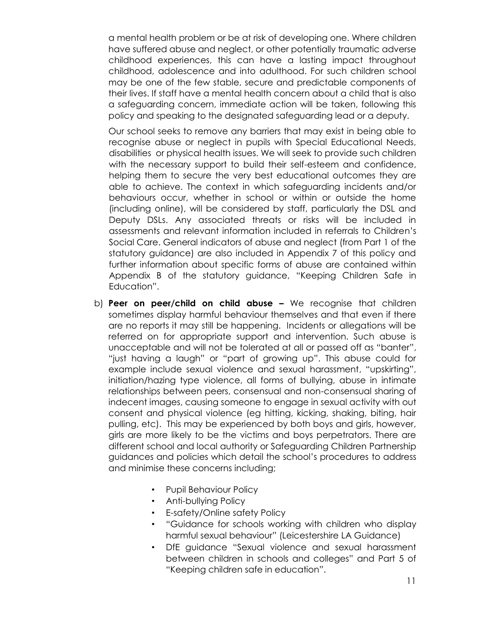a mental health problem or be at risk of developing one. Where children have suffered abuse and neglect, or other potentially traumatic adverse childhood experiences, this can have a lasting impact throughout childhood, adolescence and into adulthood. For such children school may be one of the few stable, secure and predictable components of their lives. If staff have a mental health concern about a child that is also a safeguarding concern, immediate action will be taken, following this policy and speaking to the designated safeguarding lead or a deputy.

Our school seeks to remove any barriers that may exist in being able to recognise abuse or neglect in pupils with Special Educational Needs, disabilities or physical health issues. We will seek to provide such children with the necessary support to build their self-esteem and confidence, helping them to secure the very best educational outcomes they are able to achieve. The context in which safeguarding incidents and/or behaviours occur, whether in school or within or outside the home (including online), will be considered by staff, particularly the DSL and Deputy DSLs. Any associated threats or risks will be included in assessments and relevant information included in referrals to Children's Social Care. General indicators of abuse and neglect (from Part 1 of the statutory guidance) are also included in Appendix 7 of this policy and further information about specific forms of abuse are contained within Appendix B of the statutory guidance, "Keeping Children Safe in Education".

- b) **Peer on peer/child on child abuse –** We recognise that children sometimes display harmful behaviour themselves and that even if there are no reports it may still be happening. Incidents or allegations will be referred on for appropriate support and intervention. Such abuse is unacceptable and will not be tolerated at all or passed off as "banter", "just having a laugh" or "part of growing up". This abuse could for example include sexual violence and sexual harassment, "upskirting", initiation/hazing type violence, all forms of bullying, abuse in intimate relationships between peers, consensual and non-consensual sharing of indecent images, causing someone to engage in sexual activity with out consent and physical violence (eg hitting, kicking, shaking, biting, hair pulling, etc). This may be experienced by both boys and girls, however, girls are more likely to be the victims and boys perpetrators. There are different school and local authority or Safeguarding Children Partnership guidances and policies which detail the school's procedures to address and minimise these concerns including;
	- Pupil Behaviour Policy
	- Anti-bullying Policy
	- E-safety/Online safety Policy
	- "Guidance for schools working with children who display harmful sexual behaviour" (Leicestershire LA Guidance)
	- DfE guidance "Sexual violence and sexual harassment between children in schools and colleges" and Part 5 of "Keeping children safe in education".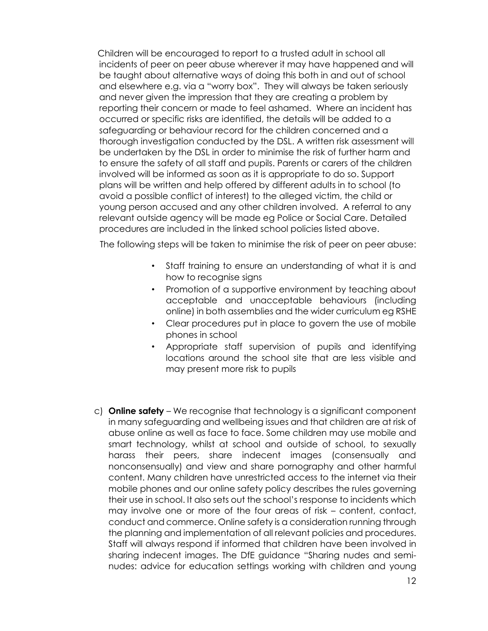Children will be encouraged to report to a trusted adult in school all incidents of peer on peer abuse wherever it may have happened and will be taught about alternative ways of doing this both in and out of school and elsewhere e.g. via a "worry box". They will always be taken seriously and never given the impression that they are creating a problem by reporting their concern or made to feel ashamed. Where an incident has occurred or specific risks are identified, the details will be added to a safeguarding or behaviour record for the children concerned and a thorough investigation conducted by the DSL. A written risk assessment will be undertaken by the DSL in order to minimise the risk of further harm and to ensure the safety of all staff and pupils. Parents or carers of the children involved will be informed as soon as it is appropriate to do so. Support plans will be written and help offered by different adults in to school (to avoid a possible conflict of interest) to the alleged victim, the child or young person accused and any other children involved. A referral to any relevant outside agency will be made eg Police or Social Care. Detailed procedures are included in the linked school policies listed above.

The following steps will be taken to minimise the risk of peer on peer abuse:

- Staff training to ensure an understanding of what it is and how to recognise signs
- Promotion of a supportive environment by teaching about acceptable and unacceptable behaviours (including online) in both assemblies and the wider curriculum eg RSHE
- Clear procedures put in place to govern the use of mobile phones in school
- Appropriate staff supervision of pupils and identifying locations around the school site that are less visible and may present more risk to pupils
- c) **Online safety**  We recognise that technology is a significant component in many safeguarding and wellbeing issues and that children are at risk of abuse online as well as face to face. Some children may use mobile and smart technology, whilst at school and outside of school, to sexually harass their peers, share indecent images (consensually and nonconsensually) and view and share pornography and other harmful content. Many children have unrestricted access to the internet via their mobile phones and our online safety policy describes the rules governing their use in school. It also sets out the school's response to incidents which may involve one or more of the four areas of risk – content, contact, conduct and commerce. Online safety is a consideration running through the planning and implementation of all relevant policies and procedures. Staff will always respond if informed that children have been involved in sharing indecent images. The DfE guidance "Sharing nudes and seminudes: advice for education settings working with children and young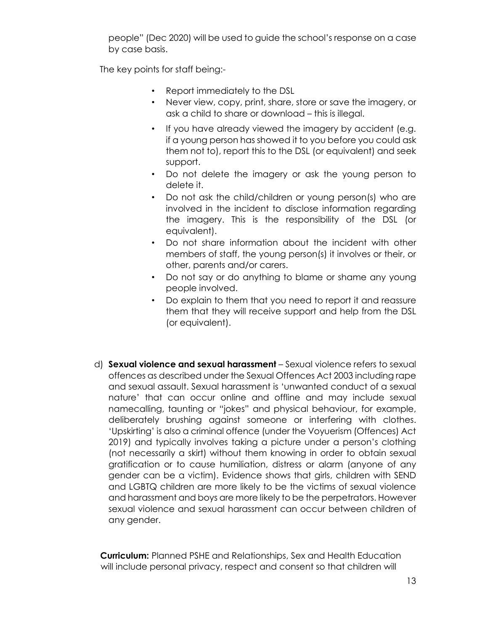people" (Dec 2020) will be used to guide the school's response on a case by case basis.

The key points for staff being:-

- Report immediately to the DSL
- Never view, copy, print, share, store or save the imagery, or ask a child to share or download – this is illegal.
- If you have already viewed the imagery by accident (e.g. if a young person has showed it to you before you could ask them not to), report this to the DSL (or equivalent) and seek support.
- Do not delete the imagery or ask the young person to delete it.
- Do not ask the child/children or young person(s) who are involved in the incident to disclose information regarding the imagery. This is the responsibility of the DSL (or equivalent).
- Do not share information about the incident with other members of staff, the young person(s) it involves or their, or other, parents and/or carers.
- Do not say or do anything to blame or shame any young people involved.
- Do explain to them that you need to report it and reassure them that they will receive support and help from the DSL (or equivalent).
- d) **Sexual violence and sexual harassment** Sexual violence refers to sexual offences as described under the Sexual Offences Act 2003 including rape and sexual assault. Sexual harassment is 'unwanted conduct of a sexual nature' that can occur online and offline and may include sexual namecalling, taunting or "jokes" and physical behaviour, for example, deliberately brushing against someone or interfering with clothes. 'Upskirting' is also a criminal offence (under the Voyuerism (Offences) Act 2019) and typically involves taking a picture under a person's clothing (not necessarily a skirt) without them knowing in order to obtain sexual gratification or to cause humiliation, distress or alarm (anyone of any gender can be a victim). Evidence shows that girls, children with SEND and LGBTQ children are more likely to be the victims of sexual violence and harassment and boys are more likely to be the perpetrators. However sexual violence and sexual harassment can occur between children of any gender.

**Curriculum:** Planned PSHE and Relationships, Sex and Health Education will include personal privacy, respect and consent so that children will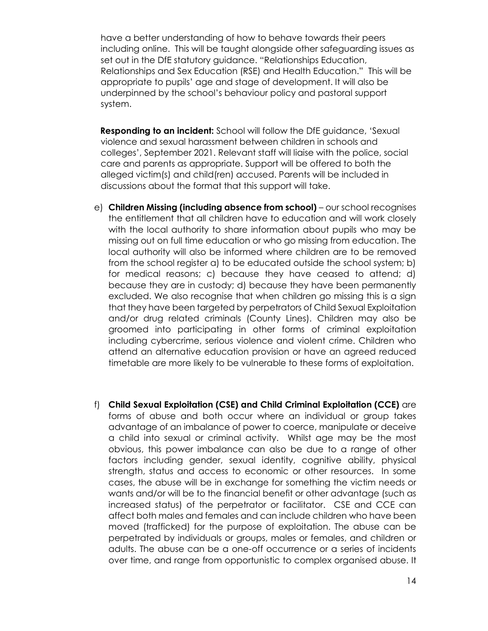have a better understanding of how to behave towards their peers including online. This will be taught alongside other safeguarding issues as set out in the DfE statutory guidance. "Relationships Education, Relationships and Sex Education (RSE) and Health Education." This will be appropriate to pupils' age and stage of development. It will also be underpinned by the school's behaviour policy and pastoral support system.

**Responding to an incident:** School will follow the DfE guidance, 'Sexual violence and sexual harassment between children in schools and colleges', September 2021. Relevant staff will liaise with the police, social care and parents as appropriate. Support will be offered to both the alleged victim(s) and child(ren) accused. Parents will be included in discussions about the format that this support will take.

- e) **Children Missing (including absence from school)**  our school recognises the entitlement that all children have to education and will work closely with the local authority to share information about pupils who may be missing out on full time education or who go missing from education. The local authority will also be informed where children are to be removed from the school register a) to be educated outside the school system; b) for medical reasons; c) because they have ceased to attend; d) because they are in custody; d) because they have been permanently excluded. We also recognise that when children go missing this is a sign that they have been targeted by perpetrators of Child Sexual Exploitation and/or drug related criminals (County Lines). Children may also be groomed into participating in other forms of criminal exploitation including cybercrime, serious violence and violent crime. Children who attend an alternative education provision or have an agreed reduced timetable are more likely to be vulnerable to these forms of exploitation.
- f) **Child Sexual Exploitation (CSE) and Child Criminal Exploitation (CCE)** are forms of abuse and both occur where an individual or group takes advantage of an imbalance of power to coerce, manipulate or deceive a child into sexual or criminal activity. Whilst age may be the most obvious, this power imbalance can also be due to a range of other factors including gender, sexual identity, cognitive ability, physical strength, status and access to economic or other resources. In some cases, the abuse will be in exchange for something the victim needs or wants and/or will be to the financial benefit or other advantage (such as increased status) of the perpetrator or facilitator. CSE and CCE can affect both males and females and can include children who have been moved (trafficked) for the purpose of exploitation. The abuse can be perpetrated by individuals or groups, males or females, and children or adults. The abuse can be a one-off occurrence or a series of incidents over time, and range from opportunistic to complex organised abuse. It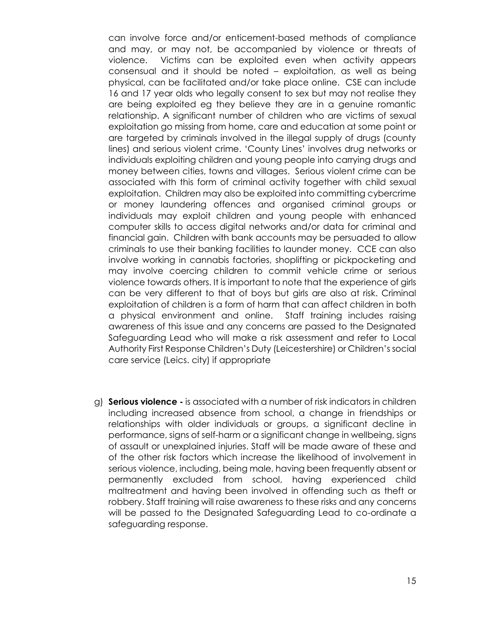can involve force and/or enticement-based methods of compliance and may, or may not, be accompanied by violence or threats of violence. Victims can be exploited even when activity appears consensual and it should be noted – exploitation, as well as being physical, can be facilitated and/or take place online. CSE can include 16 and 17 year olds who legally consent to sex but may not realise they are being exploited eg they believe they are in a genuine romantic relationship. A significant number of children who are victims of sexual exploitation go missing from home, care and education at some point or are targeted by criminals involved in the illegal supply of drugs (county lines) and serious violent crime. 'County Lines' involves drug networks or individuals exploiting children and young people into carrying drugs and money between cities, towns and villages. Serious violent crime can be associated with this form of criminal activity together with child sexual exploitation. Children may also be exploited into committing cybercrime or money laundering offences and organised criminal groups or individuals may exploit children and young people with enhanced computer skills to access digital networks and/or data for criminal and financial gain. Children with bank accounts may be persuaded to allow criminals to use their banking facilities to launder money. CCE can also involve working in cannabis factories, shoplifting or pickpocketing and may involve coercing children to commit vehicle crime or serious violence towards others. It is important to note that the experience of girls can be very different to that of boys but girls are also at risk. Criminal exploitation of children is a form of harm that can affect children in both a physical environment and online. Staff training includes raising awareness of this issue and any concerns are passed to the Designated Safeguarding Lead who will make a risk assessment and refer to Local Authority First Response Children's Duty (Leicestershire) or Children's social care service (Leics. city) if appropriate

g) **Serious violence -** is associated with a number of risk indicators in children including increased absence from school, a change in friendships or relationships with older individuals or groups, a significant decline in performance, signs of self-harm or a significant change in wellbeing, signs of assault or unexplained injuries. Staff will be made aware of these and of the other risk factors which increase the likelihood of involvement in serious violence, including, being male, having been frequently absent or permanently excluded from school, having experienced child maltreatment and having been involved in offending such as theft or robbery. Staff training will raise awareness to these risks and any concerns will be passed to the Designated Safeguarding Lead to co-ordinate a safeguarding response.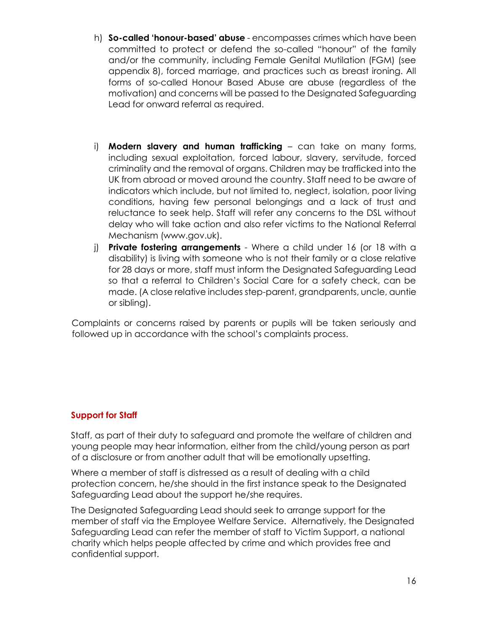- h) **So-called 'honour-based' abuse** encompasses crimes which have been committed to protect or defend the so-called "honour" of the family and/or the community, including Female Genital Mutilation (FGM) (see appendix 8), forced marriage, and practices such as breast ironing. All forms of so-called Honour Based Abuse are abuse (regardless of the motivation) and concerns will be passed to the Designated Safeguarding Lead for onward referral as required.
- i) **Modern slavery and human trafficking** can take on many forms, including sexual exploitation, forced labour, slavery, servitude, forced criminality and the removal of organs. Children may be trafficked into the UK from abroad or moved around the country. Staff need to be aware of indicators which include, but not limited to, neglect, isolation, poor living conditions, having few personal belongings and a lack of trust and reluctance to seek help. Staff will refer any concerns to the DSL without delay who will take action and also refer victims to the National Referral Mechanism (www.gov.uk).
- j) **Private fostering arrangements** Where a child under 16 (or 18 with a disability) is living with someone who is not their family or a close relative for 28 days or more, staff must inform the Designated Safeguarding Lead so that a referral to Children's Social Care for a safety check, can be made. (A close relative includes step-parent, grandparents, uncle, auntie or sibling).

Complaints or concerns raised by parents or pupils will be taken seriously and followed up in accordance with the school's complaints process.

#### **Support for Staff**

Staff, as part of their duty to safeguard and promote the welfare of children and young people may hear information, either from the child/young person as part of a disclosure or from another adult that will be emotionally upsetting.

Where a member of staff is distressed as a result of dealing with a child protection concern, he/she should in the first instance speak to the Designated Safeguarding Lead about the support he/she requires.

The Designated Safeguarding Lead should seek to arrange support for the member of staff via the Employee Welfare Service. Alternatively, the Designated Safeguarding Lead can refer the member of staff to Victim Support, a national charity which helps people affected by crime and which provides free and confidential support.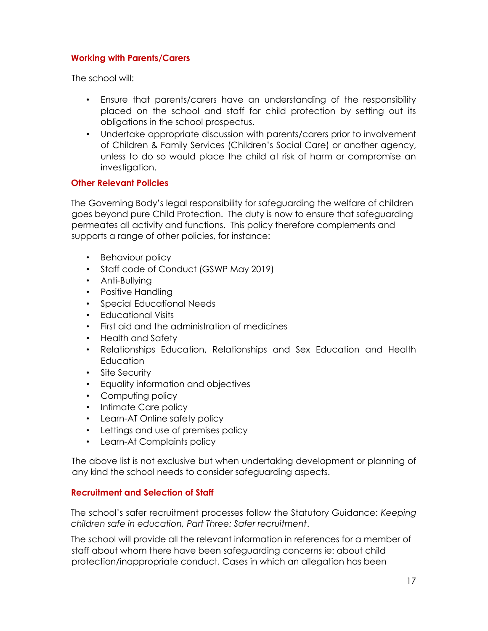#### **Working with Parents/Carers**

The school will:

- Ensure that parents/carers have an understanding of the responsibility placed on the school and staff for child protection by setting out its obligations in the school prospectus.
- Undertake appropriate discussion with parents/carers prior to involvement of Children & Family Services (Children's Social Care) or another agency, unless to do so would place the child at risk of harm or compromise an investigation.

#### **Other Relevant Policies**

The Governing Body's legal responsibility for safeguarding the welfare of children goes beyond pure Child Protection. The duty is now to ensure that safeguarding permeates all activity and functions. This policy therefore complements and supports a range of other policies, for instance:

- Behaviour policy
- Staff code of Conduct (GSWP May 2019)
- Anti-Bullying
- Positive Handling
- Special Educational Needs
- Educational Visits
- First aid and the administration of medicines
- Health and Safety
- Relationships Education, Relationships and Sex Education and Health **Education**
- Site Security
- Equality information and objectives
- Computing policy
- Intimate Care policy
- Learn-AT Online safety policy
- Lettings and use of premises policy
- Learn-At Complaints policy

The above list is not exclusive but when undertaking development or planning of any kind the school needs to consider safeguarding aspects.

#### **Recruitment and Selection of Staff**

The school's safer recruitment processes follow the Statutory Guidance: *Keeping children safe in education, Part Three: Safer recruitment*.

The school will provide all the relevant information in references for a member of staff about whom there have been safeguarding concerns ie: about child protection/inappropriate conduct. Cases in which an allegation has been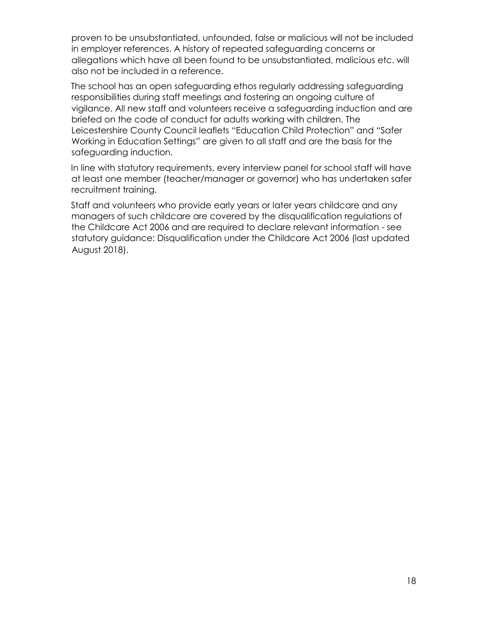proven to be unsubstantiated, unfounded, false or malicious will not be included in employer references. A history of repeated safeguarding concerns or allegations which have all been found to be unsubstantiated, malicious etc. will also not be included in a reference.

The school has an open safeguarding ethos regularly addressing safeguarding responsibilities during staff meetings and fostering an ongoing culture of vigilance. All new staff and volunteers receive a safeguarding induction and are briefed on the code of conduct for adults working with children. The Leicestershire County Council leaflets "Education Child Protection" and "Safer Working in Education Settings" are given to all staff and are the basis for the safeguarding induction.

In line with statutory requirements, every interview panel for school staff will have at least one member (teacher/manager or governor) who has undertaken safer recruitment training.

Staff and volunteers who provide early years or later years childcare and any managers of such childcare are covered by the disqualification regulations of the Childcare Act 2006 and are required to declare relevant information - see statutory guidance: Disqualification under the Childcare Act 2006 (last updated August 2018).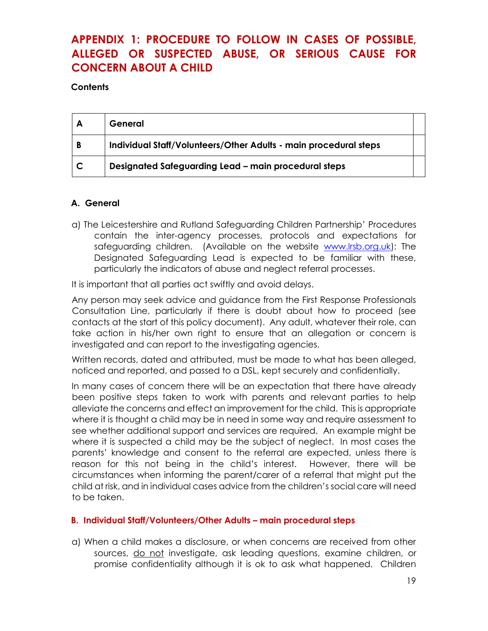# **APPENDIX 1: PROCEDURE TO FOLLOW IN CASES OF POSSIBLE, ALLEGED OR SUSPECTED ABUSE, OR SERIOUS CAUSE FOR CONCERN ABOUT A CHILD**

#### **Contents**

|   | General                                                          |  |
|---|------------------------------------------------------------------|--|
| B | Individual Staff/Volunteers/Other Adults - main procedural steps |  |
|   | Designated Safeguarding Lead – main procedural steps             |  |

#### **A. General**

a) The Leicestershire and Rutland Safeguarding Children Partnership' Procedures contain the inter-agency processes, protocols and expectations for safeguarding children. (Available on the website [www.lrsb.org.uk\):](http://www.lrsb.org.uk/) The Designated Safeguarding Lead is expected to be familiar with these, particularly the indicators of abuse and neglect referral processes.

It is important that all parties act swiftly and avoid delays.

Any person may seek advice and guidance from the First Response Professionals Consultation Line, particularly if there is doubt about how to proceed (see contacts at the start of this policy document). Any adult, whatever their role, can take action in his/her own right to ensure that an allegation or concern is investigated and can report to the investigating agencies.

Written records, dated and attributed, must be made to what has been alleged, noticed and reported, and passed to a DSL, kept securely and confidentially.

In many cases of concern there will be an expectation that there have already been positive steps taken to work with parents and relevant parties to help alleviate the concerns and effect an improvement for the child. This is appropriate where it is thought a child may be in need in some way and require assessment to see whether additional support and services are required. An example might be where it is suspected a child may be the subject of neglect. In most cases the parents' knowledge and consent to the referral are expected, unless there is reason for this not being in the child's interest. However, there will be circumstances when informing the parent/carer of a referral that might put the child at risk, and in individual cases advice from the children's social care will need to be taken.

#### **B. Individual Staff/Volunteers/Other Adults – main procedural steps**

a) When a child makes a disclosure, or when concerns are received from other sources, do not investigate, ask leading questions, examine children, or promise confidentiality although it is ok to ask what happened. Children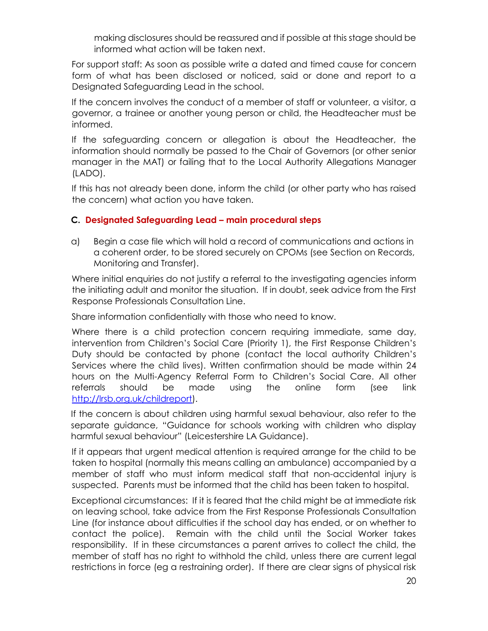making disclosures should be reassured and if possible at this stage should be informed what action will be taken next.

For support staff: As soon as possible write a dated and timed cause for concern form of what has been disclosed or noticed, said or done and report to a Designated Safeguarding Lead in the school.

If the concern involves the conduct of a member of staff or volunteer, a visitor, a governor, a trainee or another young person or child, the Headteacher must be informed.

If the safeguarding concern or allegation is about the Headteacher, the information should normally be passed to the Chair of Governors (or other senior manager in the MAT) or failing that to the Local Authority Allegations Manager (LADO).

If this has not already been done, inform the child (or other party who has raised the concern) what action you have taken.

#### **C. Designated Safeguarding Lead – main procedural steps**

a) Begin a case file which will hold a record of communications and actions in a coherent order, to be stored securely on CPOMs (see Section on Records, Monitoring and Transfer).

Where initial enquiries do not justify a referral to the investigating agencies inform the initiating adult and monitor the situation. If in doubt, seek advice from the First Response Professionals Consultation Line.

Share information confidentially with those who need to know.

Where there is a child protection concern requiring immediate, same day, intervention from Children's Social Care (Priority 1), the First Response Children's Duty should be contacted by phone (contact the local authority Children's Services where the child lives). Written confirmation should be made within 24 hours on the Multi-Agency Referral Form to Children's Social Care. All other referrals should be made using the online form (see link [http://lrsb.org.uk/childreport\).](http://lrsb.org.uk/childreport)

If the concern is about children using harmful sexual behaviour, also refer to the separate guidance, "Guidance for schools working with children who display harmful sexual behaviour" (Leicestershire LA Guidance).

If it appears that urgent medical attention is required arrange for the child to be taken to hospital (normally this means calling an ambulance) accompanied by a member of staff who must inform medical staff that non-accidental injury is suspected. Parents must be informed that the child has been taken to hospital.

Exceptional circumstances: If it is feared that the child might be at immediate risk on leaving school, take advice from the First Response Professionals Consultation Line (for instance about difficulties if the school day has ended, or on whether to contact the police). Remain with the child until the Social Worker takes responsibility. If in these circumstances a parent arrives to collect the child, the member of staff has no right to withhold the child, unless there are current legal restrictions in force (eg a restraining order). If there are clear signs of physical risk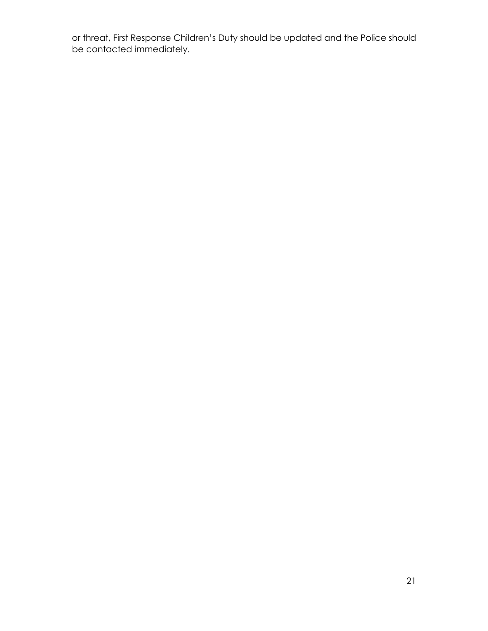or threat, First Response Children's Duty should be updated and the Police should be contacted immediately.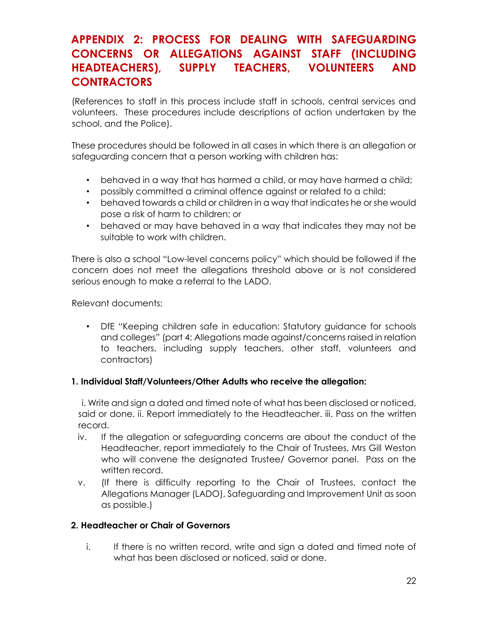# **APPENDIX 2: PROCESS FOR DEALING WITH SAFEGUARDING CONCERNS OR ALLEGATIONS AGAINST STAFF (INCLUDING HEADTEACHERS), SUPPLY TEACHERS, VOLUNTEERS AND CONTRACTORS**

(References to staff in this process include staff in schools, central services and volunteers. These procedures include descriptions of action undertaken by the school, and the Police).

These procedures should be followed in all cases in which there is an allegation or safeguarding concern that a person working with children has:

- behaved in a way that has harmed a child, or may have harmed a child;
- possibly committed a criminal offence against or related to a child;
- behaved towards a child or children in a way that indicates he or she would pose a risk of harm to children; or
- behaved or may have behaved in a way that indicates they may not be suitable to work with children.

There is also a school "Low-level concerns policy" which should be followed if the concern does not meet the allegations threshold above or is not considered serious enough to make a referral to the LADO.

Relevant documents:

• DfE "Keeping children safe in education: Statutory guidance for schools and colleges" (part 4: Allegations made against/concerns raised in relation to teachers, including supply teachers, other staff, volunteers and contractors)

### **1. Individual Staff/Volunteers/Other Adults who receive the allegation:**

i. Write and sign a dated and timed note of what has been disclosed or noticed, said or done. ii. Report immediately to the Headteacher. iii. Pass on the written record.

- iv. If the allegation or safeguarding concerns are about the conduct of the Headteacher, report immediately to the Chair of Trustees, Mrs Gill Weston who will convene the designated Trustee/ Governor panel. Pass on the written record.
- v. (If there is difficulty reporting to the Chair of Trustees, contact the Allegations Manager (LADO), Safeguarding and Improvement Unit as soon as possible.)

#### **2. Headteacher or Chair of Governors**

i. If there is no written record, write and sign a dated and timed note of what has been disclosed or noticed, said or done.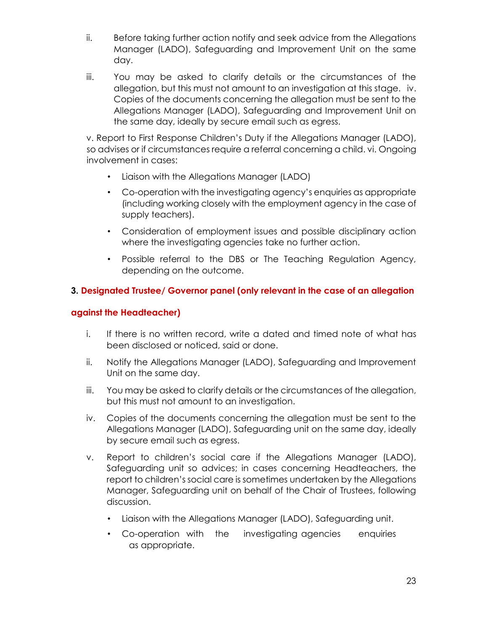- ii. Before taking further action notify and seek advice from the Allegations Manager (LADO), Safeguarding and Improvement Unit on the same day.
- iii. You may be asked to clarify details or the circumstances of the allegation, but this must not amount to an investigation at this stage. iv. Copies of the documents concerning the allegation must be sent to the Allegations Manager (LADO), Safeguarding and Improvement Unit on the same day, ideally by secure email such as egress.

v. Report to First Response Children's Duty if the Allegations Manager (LADO), so advises or if circumstances require a referral concerning a child. vi. Ongoing involvement in cases:

- Liaison with the Allegations Manager (LADO)
- Co-operation with the investigating agency's enquiries as appropriate (including working closely with the employment agency in the case of supply teachers).
- Consideration of employment issues and possible disciplinary action where the investigating agencies take no further action.
- Possible referral to the DBS or The Teaching Regulation Agency, depending on the outcome.

### **3. Designated Trustee/ Governor panel (only relevant in the case of an allegation**

#### **against the Headteacher)**

- i. If there is no written record, write a dated and timed note of what has been disclosed or noticed, said or done.
- ii. Notify the Allegations Manager (LADO), Safeguarding and Improvement Unit on the same day.
- iii. You may be asked to clarify details or the circumstances of the allegation, but this must not amount to an investigation.
- iv. Copies of the documents concerning the allegation must be sent to the Allegations Manager (LADO), Safeguarding unit on the same day, ideally by secure email such as egress.
- v. Report to children's social care if the Allegations Manager (LADO), Safeguarding unit so advices; in cases concerning Headteachers, the report to children's social care is sometimes undertaken by the Allegations Manager, Safeguarding unit on behalf of the Chair of Trustees, following discussion.
	- Liaison with the Allegations Manager (LADO), Safeguarding unit.
	- Co-operation with the investigating agencies enquiries as appropriate.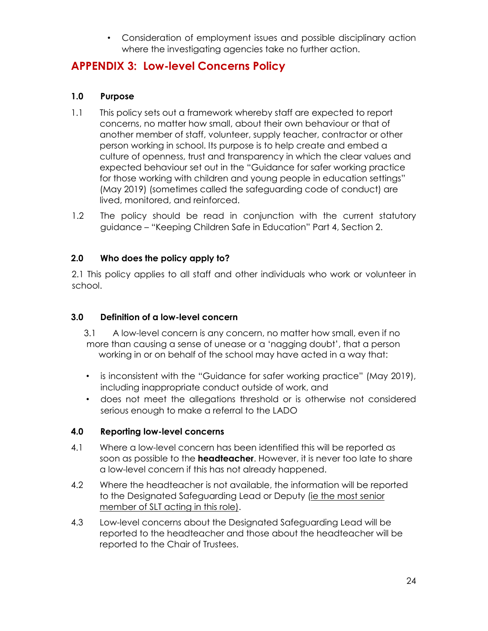• Consideration of employment issues and possible disciplinary action where the investigating agencies take no further action.

# **APPENDIX 3: Low-level Concerns Policy**

#### **1.0 Purpose**

- 1.1 This policy sets out a framework whereby staff are expected to report concerns, no matter how small, about their own behaviour or that of another member of staff, volunteer, supply teacher, contractor or other person working in school. Its purpose is to help create and embed a culture of openness, trust and transparency in which the clear values and expected behaviour set out in the "Guidance for safer working practice for those working with children and young people in education settings" (May 2019) (sometimes called the safeguarding code of conduct) are lived, monitored, and reinforced.
- 1.2 The policy should be read in conjunction with the current statutory guidance – "Keeping Children Safe in Education" Part 4, Section 2.

#### **2.0 Who does the policy apply to?**

2.1 This policy applies to all staff and other individuals who work or volunteer in school.

#### **3.0 Definition of a low-level concern**

3.1 A low-level concern is any concern, no matter how small, even if no more than causing a sense of unease or a 'nagging doubt', that a person working in or on behalf of the school may have acted in a way that:

- is inconsistent with the "Guidance for safer working practice" (May 2019), including inappropriate conduct outside of work, and
- does not meet the allegations threshold or is otherwise not considered serious enough to make a referral to the LADO

#### **4.0 Reporting low-level concerns**

- 4.1 Where a low-level concern has been identified this will be reported as soon as possible to the **headteacher**. However, it is never too late to share a low-level concern if this has not already happened.
- 4.2 Where the headteacher is not available, the information will be reported to the Designated Safeguarding Lead or Deputy (ie the most senior member of SLT acting in this role).
- 4.3 Low-level concerns about the Designated Safeguarding Lead will be reported to the headteacher and those about the headteacher will be reported to the Chair of Trustees.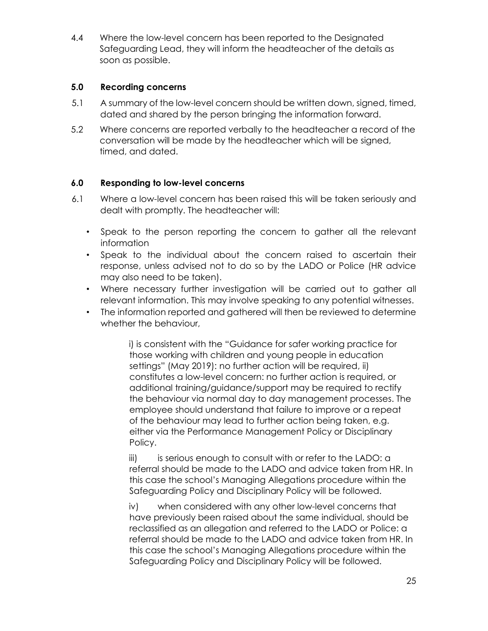4.4 Where the low-level concern has been reported to the Designated Safeguarding Lead, they will inform the headteacher of the details as soon as possible.

#### **5.0 Recording concerns**

- 5.1 A summary of the low-level concern should be written down, signed, timed, dated and shared by the person bringing the information forward.
- 5.2 Where concerns are reported verbally to the headteacher a record of the conversation will be made by the headteacher which will be signed, timed, and dated.

#### **6.0 Responding to low-level concerns**

- 6.1 Where a low-level concern has been raised this will be taken seriously and dealt with promptly. The headteacher will:
	- Speak to the person reporting the concern to gather all the relevant information
	- Speak to the individual about the concern raised to ascertain their response, unless advised not to do so by the LADO or Police (HR advice may also need to be taken).
	- Where necessary further investigation will be carried out to gather all relevant information. This may involve speaking to any potential witnesses.
	- The information reported and gathered will then be reviewed to determine whether the behaviour,

i) is consistent with the "Guidance for safer working practice for those working with children and young people in education settings" (May 2019): no further action will be required, ii) constitutes a low-level concern: no further action is required, or additional training/guidance/support may be required to rectify the behaviour via normal day to day management processes. The employee should understand that failure to improve or a repeat of the behaviour may lead to further action being taken, e.g. either via the Performance Management Policy or Disciplinary Policy.

 $iii)$  is serious enough to consult with or refer to the LADO: a referral should be made to the LADO and advice taken from HR. In this case the school's Managing Allegations procedure within the Safeguarding Policy and Disciplinary Policy will be followed.

iv) when considered with any other low-level concerns that have previously been raised about the same individual, should be reclassified as an allegation and referred to the LADO or Police: a referral should be made to the LADO and advice taken from HR. In this case the school's Managing Allegations procedure within the Safeguarding Policy and Disciplinary Policy will be followed.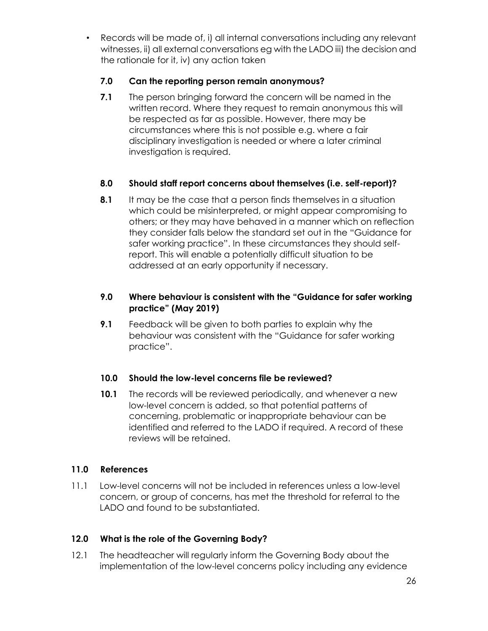• Records will be made of, i) all internal conversations including any relevant witnesses, ii) all external conversations eg with the LADO iii) the decision and the rationale for it, iv) any action taken

#### **7.0 Can the reporting person remain anonymous?**

**7.1** The person bringing forward the concern will be named in the written record. Where they request to remain anonymous this will be respected as far as possible. However, there may be circumstances where this is not possible e.g. where a fair disciplinary investigation is needed or where a later criminal investigation is required.

#### **8.0 Should staff report concerns about themselves (i.e. self-report)?**

**8.1** It may be the case that a person finds themselves in a situation which could be misinterpreted, or might appear compromising to others; or they may have behaved in a manner which on reflection they consider falls below the standard set out in the "Guidance for safer working practice". In these circumstances they should selfreport. This will enable a potentially difficult situation to be addressed at an early opportunity if necessary.

#### **9.0 Where behaviour is consistent with the "Guidance for safer working practice" (May 2019)**

**9.1** Feedback will be given to both parties to explain why the behaviour was consistent with the "Guidance for safer working practice".

#### **10.0 Should the low-level concerns file be reviewed?**

**10.1** The records will be reviewed periodically, and whenever a new low-level concern is added, so that potential patterns of concerning, problematic or inappropriate behaviour can be identified and referred to the LADO if required. A record of these reviews will be retained.

#### **11.0 References**

11.1 Low-level concerns will not be included in references unless a low-level concern, or group of concerns, has met the threshold for referral to the LADO and found to be substantiated.

#### **12.0 What is the role of the Governing Body?**

12.1 The headteacher will regularly inform the Governing Body about the implementation of the low-level concerns policy including any evidence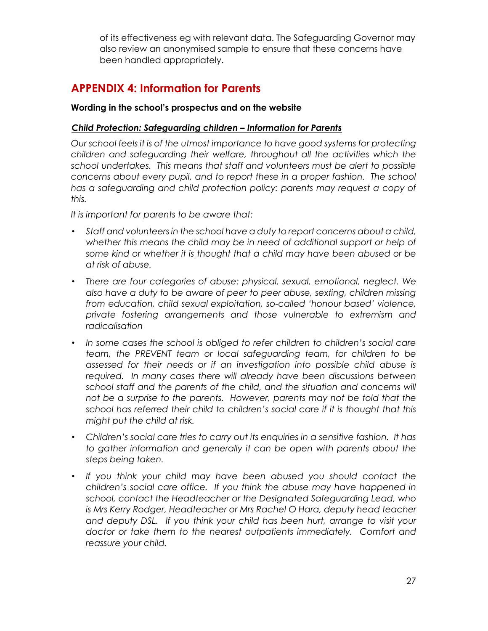of its effectiveness eg with relevant data. The Safeguarding Governor may also review an anonymised sample to ensure that these concerns have been handled appropriately.

# **APPENDIX 4: Information for Parents**

#### **Wording in the school's prospectus and on the website**

#### *Child Protection: Safeguarding children – Information for Parents*

*Our school feels it is of the utmost importance to have good systems for protecting children and safeguarding their welfare, throughout all the activities which the school undertakes. This means that staff and volunteers must be alert to possible concerns about every pupil, and to report these in a proper fashion. The school has a safeguarding and child protection policy: parents may request a copy of this.* 

*It is important for parents to be aware that:* 

- *Staff and volunteers in the school have a duty to report concerns about a child,*  whether this means the child may be in need of additional support or help of *some kind or whether it is thought that a child may have been abused or be at risk of abuse.*
- *There are four categories of abuse: physical, sexual, emotional, neglect. We also have a duty to be aware of peer to peer abuse, sexting, children missing from education, child sexual exploitation, so-called 'honour based' violence, private fostering arrangements and those vulnerable to extremism and radicalisation*
- *In some cases the school is obliged to refer children to children's social care team, the PREVENT team or local safeguarding team, for children to be assessed for their needs or if an investigation into possible child abuse is required. In many cases there will already have been discussions between school staff and the parents of the child, and the situation and concerns will not be a surprise to the parents. However, parents may not be told that the school has referred their child to children's social care if it is thought that this might put the child at risk.*
- *Children's social care tries to carry out its enquiries in a sensitive fashion. It has*  to gather information and generally it can be open with parents about the *steps being taken.*
- *If you think your child may have been abused you should contact the children's social care office. If you think the abuse may have happened in school, contact the Headteacher or the Designated Safeguarding Lead, who is Mrs Kerry Rodger, Headteacher or Mrs Rachel O Hara, deputy head teacher and deputy DSL. If you think your child has been hurt, arrange to visit your doctor or take them to the nearest outpatients immediately. Comfort and reassure your child.*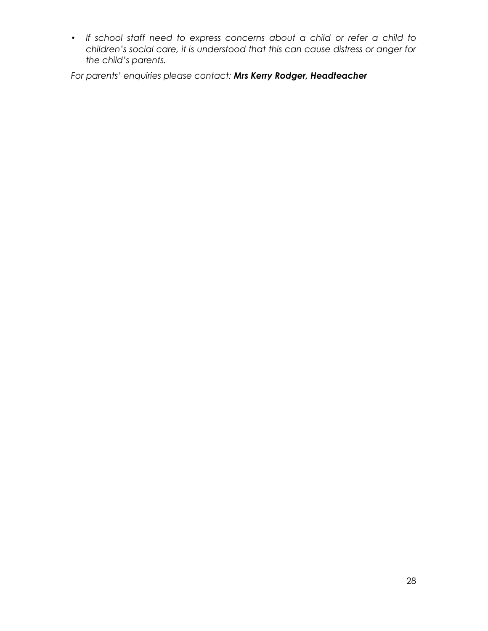• *If school staff need to express concerns about a child or refer a child to children's social care, it is understood that this can cause distress or anger for the child's parents.* 

*For parents' enquiries please contact: Mrs Kerry Rodger, Headteacher*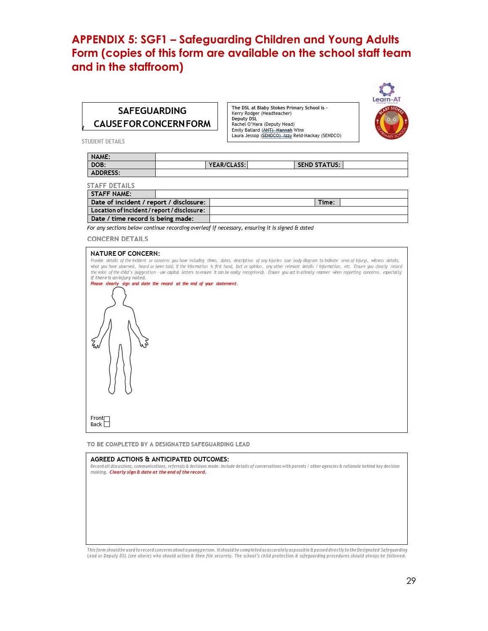# **APPENDIX 5: SGF1 – Safeguarding Children and Young Adults Form (copies of this form are available on the school staff team and in the staffroom)**

## **SAFEGUARDING CAUSE FOR CONCERN FORM**

The DSL at Blaby Stokes Primary School is -Kerry Rodger (Headteacher) Deputy DSL Rachel O'Hara (Deputy Head) Emily Ballard (AHT) Hannah Winn<br>Laura Jessop (SENDCO) Izzy Reid-Mackay (SENDCO)



STUDENT DETAILS

| NAME:                |             |                     |
|----------------------|-------------|---------------------|
| DOB:                 | YEAR/CLASS: | <b>SEND STATUS:</b> |
| <b>ADDRESS:</b>      |             |                     |
| <b>STAFF DETAILS</b> |             |                     |
| STAFF NAME.          |             |                     |

| <b>STAFF NAME:</b>                          |       |
|---------------------------------------------|-------|
| Date of incident / report / disclosure:     | Time: |
| Location of incident / report / disclosure: |       |
| Date / time record is being made:           |       |

For any sections below continue recording overleaf if necessary, ensuring it is signed & dated

**CONCERN DETAILS** 

| <b>NATURE OF CONCERN:</b>                                                                                                                                                                                |
|----------------------------------------------------------------------------------------------------------------------------------------------------------------------------------------------------------|
| Provide details of the incident or concerns you have including times, dates, description of any injuries (use body diagram to indicate area of injury), witness details,                                 |
| what you have observed, heard or been told, if the information is first hand, fact or opinion, any other relevant details I information, etc. Ensure you clearly record                                  |
| the voice of the child's (suggestion - use capital letters to ensure it can be easily recognised). Ensure you act in a timely manner when reporting concerns, especially<br>if there is an injury noted. |
| Please dearly sign and date the record at the end of your statement.                                                                                                                                     |
|                                                                                                                                                                                                          |
|                                                                                                                                                                                                          |
| Front                                                                                                                                                                                                    |
| Back                                                                                                                                                                                                     |

TO BE COMPLETED BY A DESIGNATED SAFEGUARDING LEAD



This form should be used to record concerns about a young person. It should be completed as accurately as possible & passed directly to the Designated Safeguarding Lead or Deputy DSL (see above) who should action & then file securely. The school's child protection & safeguarding procedures should always be followed.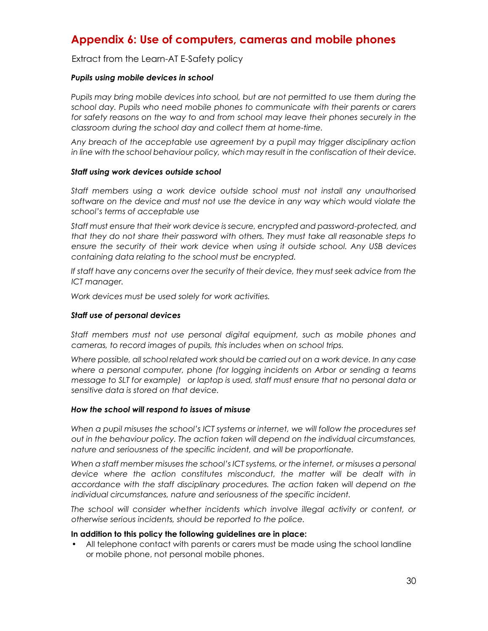## **Appendix 6: Use of computers, cameras and mobile phones**

Extract from the Learn-AT E-Safety policy

#### *Pupils using mobile devices in school*

*Pupils may bring mobile devices into school, but are not permitted to use them during the school day. Pupils who need mobile phones to communicate with their parents or carers*  for safety reasons on the way to and from school may leave their phones securely in the *classroom during the school day and collect them at home-time.* 

*Any breach of the acceptable use agreement by a pupil may trigger disciplinary action in line with the school behaviour policy, which may result in the confiscation of their device.* 

#### *Staff using work devices outside school*

*Staff members using a work device outside school must not install any unauthorised software on the device and must not use the device in any way which would violate the school's terms of acceptable use* 

*Staff must ensure that their work device is secure, encrypted and password-protected, and that they do not share their password with others. They must take all reasonable steps to ensure the security of their work device when using it outside school. Any USB devices containing data relating to the school must be encrypted.* 

*If staff have any concerns over the security of their device, they must seek advice from the ICT manager.* 

*Work devices must be used solely for work activities.* 

#### *Staff use of personal devices*

*Staff members must not use personal digital equipment, such as mobile phones and cameras, to record images of pupils, this includes when on school trips.* 

*Where possible, all school related work should be carried out on a work device. In any case where a personal computer, phone (for logging incidents on Arbor or sending a teams message to SLT for example) or laptop is used, staff must ensure that no personal data or sensitive data is stored on that device.* 

#### *How the school will respond to issues of misuse*

*When a pupil misuses the school's ICT systems or internet, we will follow the procedures set out in the behaviour policy. The action taken will depend on the individual circumstances, nature and seriousness of the specific incident, and will be proportionate.* 

*When a staff member misuses the school's ICT systems, or the internet, or misuses a personal device where the action constitutes misconduct, the matter will be dealt with in accordance with the staff disciplinary procedures. The action taken will depend on the individual circumstances, nature and seriousness of the specific incident.* 

*The school will consider whether incidents which involve illegal activity or content, or otherwise serious incidents, should be reported to the police.* 

#### **In addition to this policy the following guidelines are in place:**

• All telephone contact with parents or carers must be made using the school landline or mobile phone, not personal mobile phones.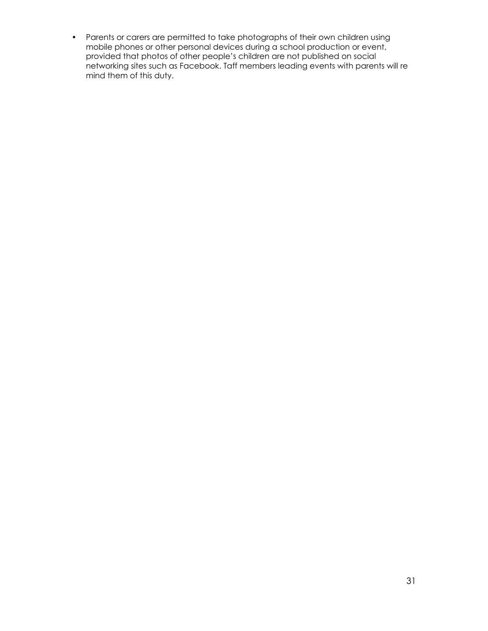• Parents or carers are permitted to take photographs of their own children using mobile phones or other personal devices during a school production or event, provided that photos of other people's children are not published on social networking sites such as Facebook. Taff members leading events with parents will re mind them of this duty.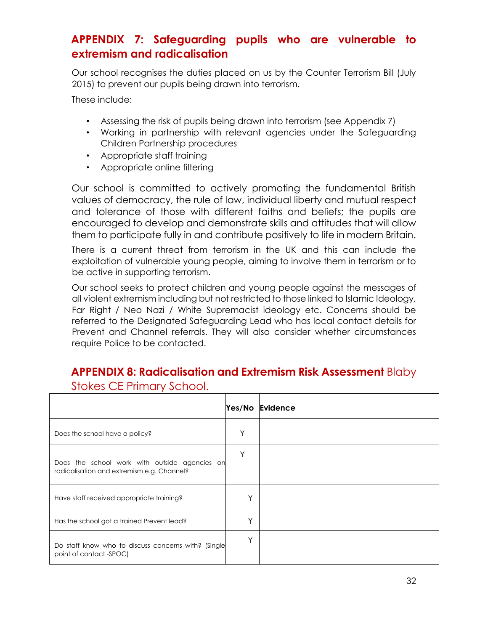## **APPENDIX 7: Safeguarding pupils who are vulnerable to extremism and radicalisation**

Our school recognises the duties placed on us by the Counter Terrorism Bill (July 2015) to prevent our pupils being drawn into terrorism.

These include:

- Assessing the risk of pupils being drawn into terrorism (see Appendix 7)
- Working in partnership with relevant agencies under the Safeguarding Children Partnership procedures
- Appropriate staff training
- Appropriate online filtering

Our school is committed to actively promoting the fundamental British values of democracy, the rule of law, individual liberty and mutual respect and tolerance of those with different faiths and beliefs; the pupils are encouraged to develop and demonstrate skills and attitudes that will allow them to participate fully in and contribute positively to life in modern Britain.

There is a current threat from terrorism in the UK and this can include the exploitation of vulnerable young people, aiming to involve them in terrorism or to be active in supporting terrorism.

Our school seeks to protect children and young people against the messages of all violent extremism including but not restricted to those linked to Islamic Ideology, Far Right / Neo Nazi / White Supremacist ideology etc. Concerns should be referred to the Designated Safeguarding Lead who has local contact details for Prevent and Channel referrals. They will also consider whether circumstances require Police to be contacted.

## **APPENDIX 8: Radicalisation and Extremism Risk Assessment** Blaby Stokes CE Primary School.

|                                                                                             | Yes/No       | Evidence |
|---------------------------------------------------------------------------------------------|--------------|----------|
| Does the school have a policy?                                                              | $\checkmark$ |          |
| Does the school work with outside agencies on<br>radicalisation and extremism e.g. Channel? | ٧            |          |
| Have staff received appropriate training?                                                   | ٧            |          |
| Has the school got a trained Prevent lead?                                                  | Υ            |          |
| Do staff know who to discuss concerns with? (Single<br>point of contact -SPOC)              | Υ            |          |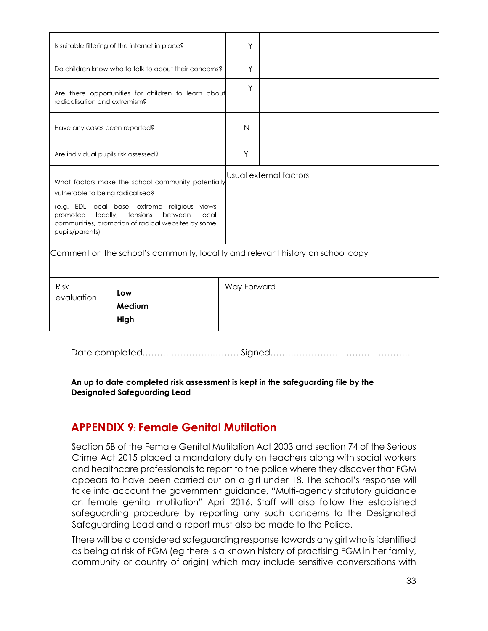|                                                                                                                                                                                                                                                                                                    | Is suitable filtering of the internet in place? | Y           |  |
|----------------------------------------------------------------------------------------------------------------------------------------------------------------------------------------------------------------------------------------------------------------------------------------------------|-------------------------------------------------|-------------|--|
| Do children know who to talk to about their concerns?                                                                                                                                                                                                                                              |                                                 |             |  |
| Are there opportunities for children to learn about<br>radicalisation and extremism?                                                                                                                                                                                                               |                                                 |             |  |
| Have any cases been reported?                                                                                                                                                                                                                                                                      |                                                 |             |  |
| Are individual pupils risk assessed?                                                                                                                                                                                                                                                               |                                                 |             |  |
| Usual external factors<br>What factors make the school community potentially<br>vulnerable to being radicalised?<br>(e.g. EDL local base, extreme religious views<br>locally,<br>tensions<br>between<br>promoted<br>local<br>communities, promotion of radical websites by some<br>pupils/parents) |                                                 |             |  |
| Comment on the school's community, locality and relevant history on school copy                                                                                                                                                                                                                    |                                                 |             |  |
| <b>Risk</b><br>evaluation                                                                                                                                                                                                                                                                          | Low<br>Medium<br>High                           | Way Forward |  |

Date completed…………………………… Signed…………………………………………

**An up to date completed risk assessment is kept in the safeguarding file by the Designated Safeguarding Lead** 

# **APPENDIX 9: Female Genital Mutilation**

Section 5B of the Female Genital Mutilation Act 2003 and section 74 of the Serious Crime Act 2015 placed a mandatory duty on teachers along with social workers and healthcare professionals to report to the police where they discover that FGM appears to have been carried out on a girl under 18. The school's response will take into account the government guidance, "Multi-agency statutory guidance on female genital mutilation" April 2016. Staff will also follow the established safeguarding procedure by reporting any such concerns to the Designated Safeguarding Lead and a report must also be made to the Police.

There will be a considered safeguarding response towards any girl who is identified as being at risk of FGM (eg there is a known history of practising FGM in her family, community or country of origin) which may include sensitive conversations with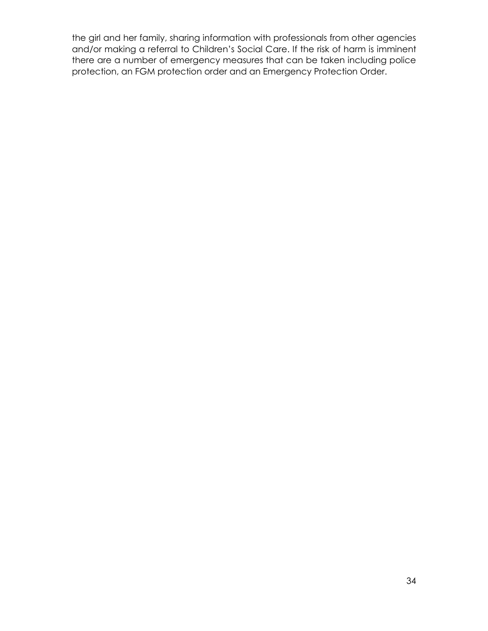the girl and her family, sharing information with professionals from other agencies and/or making a referral to Children's Social Care. If the risk of harm is imminent there are a number of emergency measures that can be taken including police protection, an FGM protection order and an Emergency Protection Order.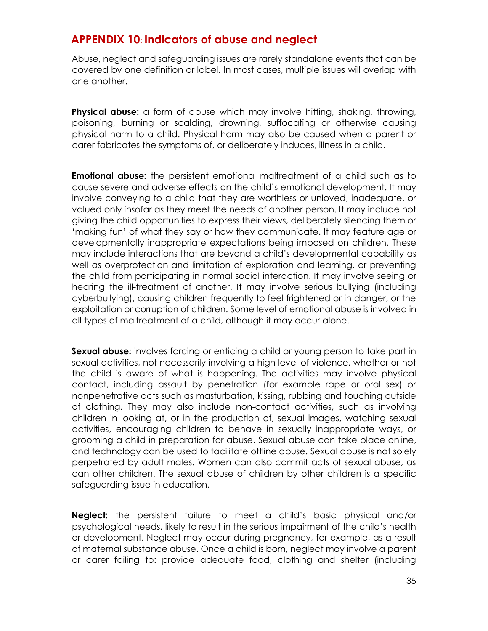## **APPENDIX 10: Indicators of abuse and neglect**

Abuse, neglect and safeguarding issues are rarely standalone events that can be covered by one definition or label. In most cases, multiple issues will overlap with one another.

**Physical abuse:** a form of abuse which may involve hitting, shaking, throwing, poisoning, burning or scalding, drowning, suffocating or otherwise causing physical harm to a child. Physical harm may also be caused when a parent or carer fabricates the symptoms of, or deliberately induces, illness in a child.

**Emotional abuse:** the persistent emotional maltreatment of a child such as to cause severe and adverse effects on the child's emotional development. It may involve conveying to a child that they are worthless or unloved, inadequate, or valued only insofar as they meet the needs of another person. It may include not giving the child opportunities to express their views, deliberately silencing them or 'making fun' of what they say or how they communicate. It may feature age or developmentally inappropriate expectations being imposed on children. These may include interactions that are beyond a child's developmental capability as well as overprotection and limitation of exploration and learning, or preventing the child from participating in normal social interaction. It may involve seeing or hearing the ill-treatment of another. It may involve serious bullying (including cyberbullying), causing children frequently to feel frightened or in danger, or the exploitation or corruption of children. Some level of emotional abuse is involved in all types of maltreatment of a child, although it may occur alone.

**Sexual abuse:** involves forcing or enticing a child or young person to take part in sexual activities, not necessarily involving a high level of violence, whether or not the child is aware of what is happening. The activities may involve physical contact, including assault by penetration (for example rape or oral sex) or nonpenetrative acts such as masturbation, kissing, rubbing and touching outside of clothing. They may also include non-contact activities, such as involving children in looking at, or in the production of, sexual images, watching sexual activities, encouraging children to behave in sexually inappropriate ways, or grooming a child in preparation for abuse. Sexual abuse can take place online, and technology can be used to facilitate offline abuse. Sexual abuse is not solely perpetrated by adult males. Women can also commit acts of sexual abuse, as can other children. The sexual abuse of children by other children is a specific safeguarding issue in education.

**Neglect:** the persistent failure to meet a child's basic physical and/or psychological needs, likely to result in the serious impairment of the child's health or development. Neglect may occur during pregnancy, for example, as a result of maternal substance abuse. Once a child is born, neglect may involve a parent or carer failing to: provide adequate food, clothing and shelter (including